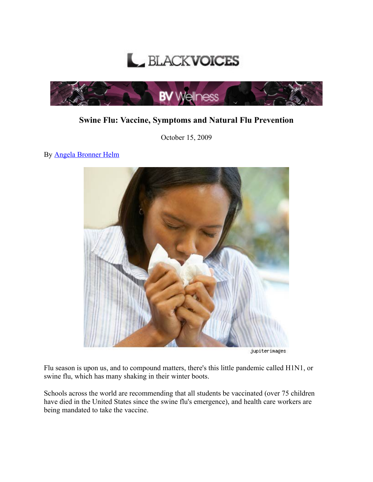



## Swine Flu: Vaccine, Symptoms and Natural Flu Prevention

October 15, 2009

By Angela [Bronner](http://www.bvwellness.com/bloggers/angela-bronner-helm/) Helm



jupiterimages

Flu season is upon us, and to compound matters, there's this little pandemic called H1N1, or swine flu, which has many shaking in their winter boots.

Schools across the world are recommending that all students be vaccinated (over 75 children have died in the United States since the swine flu's emergence), and health care workers are being mandated to take the vaccine.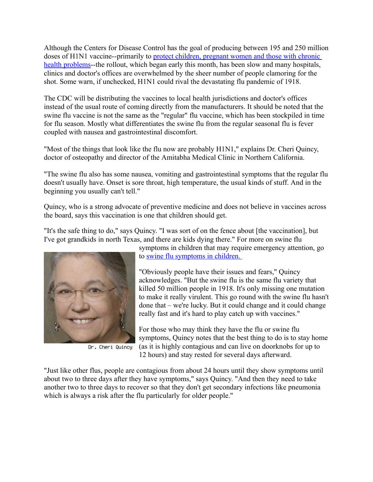Although the Centers for Disease Control has the goal of producing between 195 and 250 million doses of H1N1 vaccine--primarily to protect [children,](http://www.cdc.gov/h1n1flu/vaccination/acip.htm) pregnant women and those with chronic health [problems-](http://www.cdc.gov/h1n1flu/vaccination/acip.htm)-the rollout, which began early this month, has been slow and many hospitals, clinics and doctor's offices are overwhelmed by the sheer number of people clamoring for the shot. Some warn, if unchecked, H1N1 could rival the devastating flu pandemic of 1918.

The CDC will be distributing the vaccines to local health jurisdictions and doctor's offices instead of the usual route of coming directly from the manufacturers. It should be noted that the swine flu vaccine is not the same as the "regular" flu vaccine, which has been stockpiled in time for flu season. Mostly what differentiates the swine flu from the regular seasonal flu is fever coupled with nausea and gastrointestinal discomfort.

"Most of the things that look like the flu now are probably H1N1," explains Dr. Cheri Quincy, doctor of osteopathy and director of the Amitabha Medical Clinic in Northern California.

"The swine flu also has some nausea, vomiting and gastrointestinal symptoms that the regular flu doesn't usually have. Onset is sore throat, high temperature, the usual kinds of stuff. And in the beginning you usually can't tell."

Quincy, who is a strong advocate of preventive medicine and does not believe in vaccines across the board, says this vaccination is one that children should get.

"It's the safe thing to do," says Quincy. "I was sort of on the fence about [the vaccination], but I've got grandkids in north Texas, and there are kids dying there." For more on swine flu



Dr. Cheri Quincy

symptoms in children that may require emergency attention, go to swine flu [symptoms](http://www.bvwellness.com/2009/10/15/dangerous-swine-flu-symptoms-in-children/) in children.

"Obviously people have their issues and fears," Quincy acknowledges. "But the swine flu is the same flu variety that killed 50 million people in 1918. It's only missing one mutation to make it really virulent. This go round with the swine flu hasn't done that – we're lucky. But it could change and it could change really fast and it's hard to play catch up with vaccines."

For those who may think they have the flu or swine flu symptoms, Quincy notes that the best thing to do is to stay home (as it is highly contagious and can live on doorknobs for up to 12 hours) and stay rested for several days afterward.

"Just like other flus, people are contagious from about 24 hours until they show symptoms until about two to three days after they have symptoms," says Quincy. "And then they need to take another two to three days to recover so that they don't get secondary infections like pneumonia which is always a risk after the flu particularly for older people."